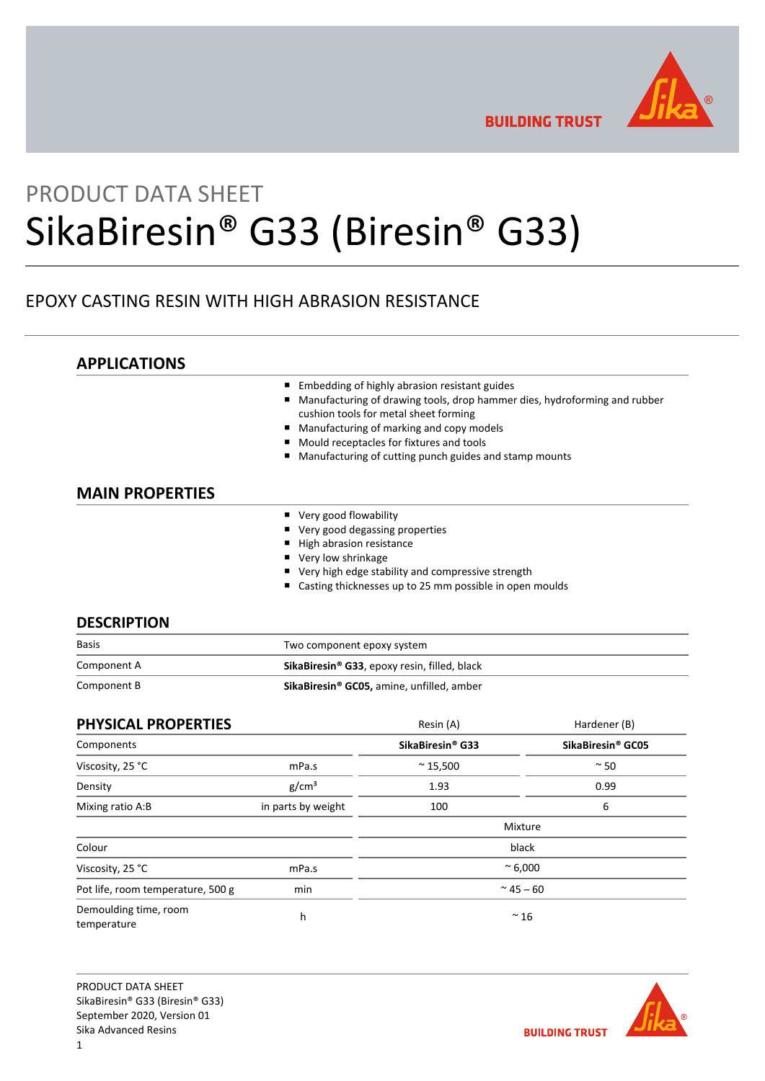

**BUILDING TRUST** 

# PRODUCT DATA SHEET SikaBiresin® G33 (Biresin® G33)

# EPOXY CASTING RESIN WITH HIGH ABRASION RESISTANCE

|                        | Embedding of highly abrasion resistant guides<br>Manufacturing of drawing tools, drop hammer dies, hydroforming and rubber<br>cushion tools for metal sheet forming<br>Manufacturing of marking and copy models<br>■<br>Mould receptacles for fixtures and tools<br>п<br>Manufacturing of cutting punch guides and stamp mounts |
|------------------------|---------------------------------------------------------------------------------------------------------------------------------------------------------------------------------------------------------------------------------------------------------------------------------------------------------------------------------|
| <b>MAIN PROPERTIES</b> |                                                                                                                                                                                                                                                                                                                                 |
|                        | ■ Very good flowability                                                                                                                                                                                                                                                                                                         |
|                        |                                                                                                                                                                                                                                                                                                                                 |
|                        | ■ Very good degassing properties                                                                                                                                                                                                                                                                                                |
|                        | High abrasion resistance                                                                                                                                                                                                                                                                                                        |
|                        | ■ Very low shrinkage                                                                                                                                                                                                                                                                                                            |
|                        | ■ Very high edge stability and compressive strength                                                                                                                                                                                                                                                                             |

| <b>Basis</b> | Two component epoxy system                                      |  |
|--------------|-----------------------------------------------------------------|--|
| Component A  | <b>SikaBiresin<sup>®</sup> G33</b> , epoxy resin, filled, black |  |
| Component B  | SikaBiresin <sup>®</sup> GC05, amine, unfilled, amber           |  |

| <b>PHYSICAL PROPERTIES</b>           |                    | Resin (A)                    | Hardener (B)                  |  |
|--------------------------------------|--------------------|------------------------------|-------------------------------|--|
| Components                           |                    | SikaBiresin <sup>®</sup> G33 | SikaBiresin <sup>®</sup> GC05 |  |
| Viscosity, 25 °C                     | mPa.s              | $~^{\sim}$ 15,500            | $~\sim$ 50                    |  |
| Density                              | g/cm <sup>3</sup>  | 1.93                         | 0.99                          |  |
| Mixing ratio A:B                     | in parts by weight | 100                          | 6                             |  |
|                                      |                    |                              | Mixture                       |  |
| Colour                               |                    |                              | black                         |  |
| Viscosity, 25 °C                     | mPa.s              | $~^{\circ}$ 6,000            |                               |  |
| Pot life, room temperature, 500 g    | min                | $~^{\sim}$ 45 – 60           |                               |  |
| Demoulding time, room<br>temperature | h                  |                              | $~^{\sim}$ 16                 |  |



**BUILDING TRUST**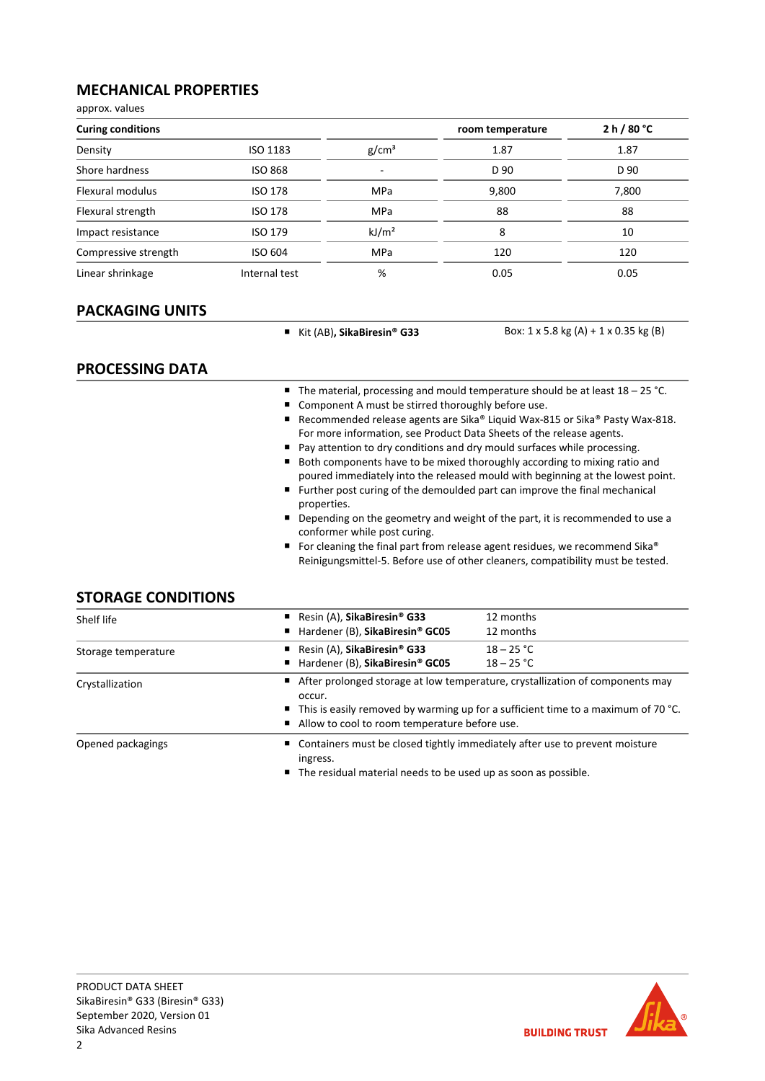# **MECHANICAL PROPERTIES**

approx. values

| <b>Curing conditions</b> |                 |                          | room temperature | 2 h / 80 °C |
|--------------------------|-----------------|--------------------------|------------------|-------------|
| Density                  | <b>ISO 1183</b> | g/cm <sup>3</sup>        | 1.87             | 1.87        |
| Shore hardness           | <b>ISO 868</b>  | $\overline{\phantom{0}}$ | D 90             | D 90        |
| Flexural modulus         | <b>ISO 178</b>  | MPa                      | 9,800            | 7,800       |
| Flexural strength        | <b>ISO 178</b>  | <b>MPa</b>               | 88               | 88          |
| Impact resistance        | <b>ISO 179</b>  | kJ/m <sup>2</sup>        | 8                | 10          |
| Compressive strength     | <b>ISO 604</b>  | MPa                      | 120              | 120         |
| Linear shrinkage         | Internal test   | %                        | 0.05             | 0.05        |

# **PACKAGING UNITS**

■ Kit (AB)**, SikaBiresin<sup>®</sup> G33** Box: 1 x 5.8 kg (A) + 1 x 0.35 kg (B)

# **PROCESSING DATA**

- The material, processing and mould temperature should be at least 18 25 °C.
- Component A must be stirred thoroughly before use.
- Recommended release agents are Sika® Liquid Wax-815 or Sika® Pasty Wax-818. For more information, see Product Data Sheets of the release agents.
- Pay attention to dry conditions and dry mould surfaces while processing.
- Both components have to be mixed thoroughly according to mixing ratio and poured immediately into the released mould with beginning at the lowest point.
- Further post curing of the demoulded part can improve the final mechanical properties.
- Depending on the geometry and weight of the part, it is recommended to use a conformer while post curing.
- For cleaning the final part from release agent residues, we recommend Sika® Reinigungsmittel‐5. Before use of other cleaners, compatibility must be tested.

# **STORAGE CONDITIONS**

| Shelf life          | Resin (A), SikaBiresin <sup>®</sup> G33                                                          | 12 months    |  |  |
|---------------------|--------------------------------------------------------------------------------------------------|--------------|--|--|
|                     | ■ Hardener (B), SikaBiresin® GC05                                                                | 12 months    |  |  |
| Storage temperature | Resin (A), SikaBiresin <sup>®</sup> G33                                                          | $18 - 25 °C$ |  |  |
|                     | ■ Hardener (B), SikaBiresin® GC05                                                                | $18 - 25 °C$ |  |  |
| Crystallization     | After prolonged storage at low temperature, crystallization of components may<br>occur.          |              |  |  |
|                     | $\blacksquare$ This is easily removed by warming up for a sufficient time to a maximum of 70 °C. |              |  |  |
|                     | Allow to cool to room temperature before use.                                                    |              |  |  |
| Opened packagings   | ■ Containers must be closed tightly immediately after use to prevent moisture<br>ingress.        |              |  |  |
|                     | ∎ The second lead accuración la contra a la consecutiva de consecuencia de la consecutiv         |              |  |  |

■ The residual material needs to be used up as soon as possible.